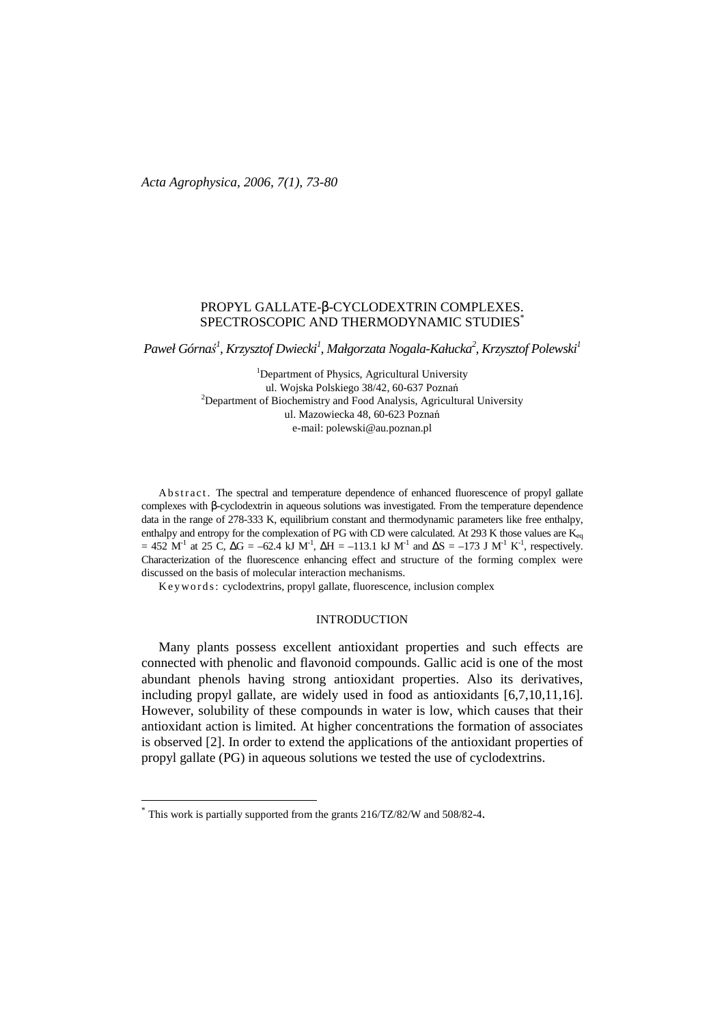# PROPYL GALLATE-β-CYCLODEXTRIN COMPLEXES. SPECTROSCOPIC AND THERMODYNAMIC STUDIES<sup>\*</sup>

*Paweł Górna*ś *1 , Krzysztof Dwiecki<sup>1</sup> , Małgorzata Nogala-Kałucka<sup>2</sup> , Krzysztof Polewski<sup>1</sup>*

<sup>1</sup>Department of Physics, Agricultural University ul. Wojska Polskiego 38/42, 60-637 Poznań  $2$ Department of Biochemistry and Food Analysis, Agricultural University ul. Mazowiecka 48, 60-623 Poznań e-mail: polewski@au.poznan.pl

Ab stract. The spectral and temperature dependence of enhanced fluorescence of propyl gallate complexes with β-cyclodextrin in aqueous solutions was investigated. From the temperature dependence data in the range of 278-333 K, equilibrium constant and thermodynamic parameters like free enthalpy, enthalpy and entropy for the complexation of PG with CD were calculated. At 293 K those values are  $K_{eq}$  $= 452$  M<sup>-1</sup> at 25 C,  $\Delta G = -62.4$  kJ M<sup>-1</sup>,  $\Delta H = -113.1$  kJ M<sup>-1</sup> and  $\Delta S = -173$  J M<sup>-1</sup> K<sup>-1</sup>, respectively. Characterization of the fluorescence enhancing effect and structure of the forming complex were discussed on the basis of molecular interaction mechanisms.

Keywords: cyclodextrins, propyl gallate, fluorescence, inclusion complex

# INTRODUCTION

Many plants possess excellent antioxidant properties and such effects are connected with phenolic and flavonoid compounds. Gallic acid is one of the most abundant phenols having strong antioxidant properties. Also its derivatives, including propyl gallate, are widely used in food as antioxidants [6,7,10,11,16]. However, solubility of these compounds in water is low, which causes that their antioxidant action is limited. At higher concentrations the formation of associates is observed [2]. In order to extend the applications of the antioxidant properties of propyl gallate (PG) in aqueous solutions we tested the use of cyclodextrins.

 $\overline{a}$ 

<sup>\*</sup> This work is partially supported from the grants 216/TZ/82/W and 508/82-4.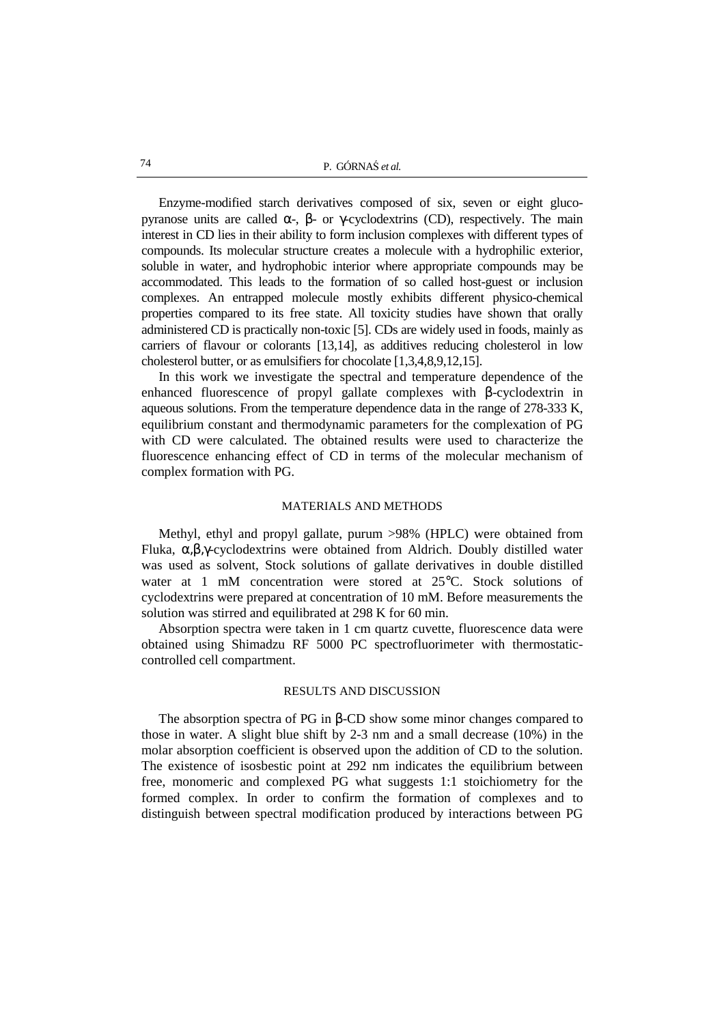Enzyme-modified starch derivatives composed of six, seven or eight glucopyranose units are called α-, β- or γ-cyclodextrins (CD), respectively. The main interest in CD lies in their ability to form inclusion complexes with different types of compounds. Its molecular structure creates a molecule with a hydrophilic exterior, soluble in water, and hydrophobic interior where appropriate compounds may be accommodated. This leads to the formation of so called host-guest or inclusion complexes. An entrapped molecule mostly exhibits different physico-chemical properties compared to its free state. All toxicity studies have shown that orally administered CD is practically non-toxic [5]. CDs are widely used in foods, mainly as carriers of flavour or colorants [13,14], as additives reducing cholesterol in low cholesterol butter, or as emulsifiers for chocolate [1,3,4,8,9,12,15].

In this work we investigate the spectral and temperature dependence of the enhanced fluorescence of propyl gallate complexes with β-cyclodextrin in aqueous solutions. From the temperature dependence data in the range of 278-333 K, equilibrium constant and thermodynamic parameters for the complexation of PG with CD were calculated. The obtained results were used to characterize the fluorescence enhancing effect of CD in terms of the molecular mechanism of complex formation with PG.

## MATERIALS AND METHODS

Methyl, ethyl and propyl gallate, purum >98% (HPLC) were obtained from Fluka, α,β,γ-cyclodextrins were obtained from Aldrich. Doubly distilled water was used as solvent, Stock solutions of gallate derivatives in double distilled water at 1 mM concentration were stored at 25°C. Stock solutions of cyclodextrins were prepared at concentration of 10 mM. Before measurements the solution was stirred and equilibrated at 298 K for 60 min.

Absorption spectra were taken in 1 cm quartz cuvette, fluorescence data were obtained using Shimadzu RF 5000 PC spectrofluorimeter with thermostaticcontrolled cell compartment.

### RESULTS AND DISCUSSION

The absorption spectra of PG in β-CD show some minor changes compared to those in water. A slight blue shift by 2-3 nm and a small decrease (10%) in the molar absorption coefficient is observed upon the addition of CD to the solution. The existence of isosbestic point at 292 nm indicates the equilibrium between free, monomeric and complexed PG what suggests 1:1 stoichiometry for the formed complex. In order to confirm the formation of complexes and to distinguish between spectral modification produced by interactions between PG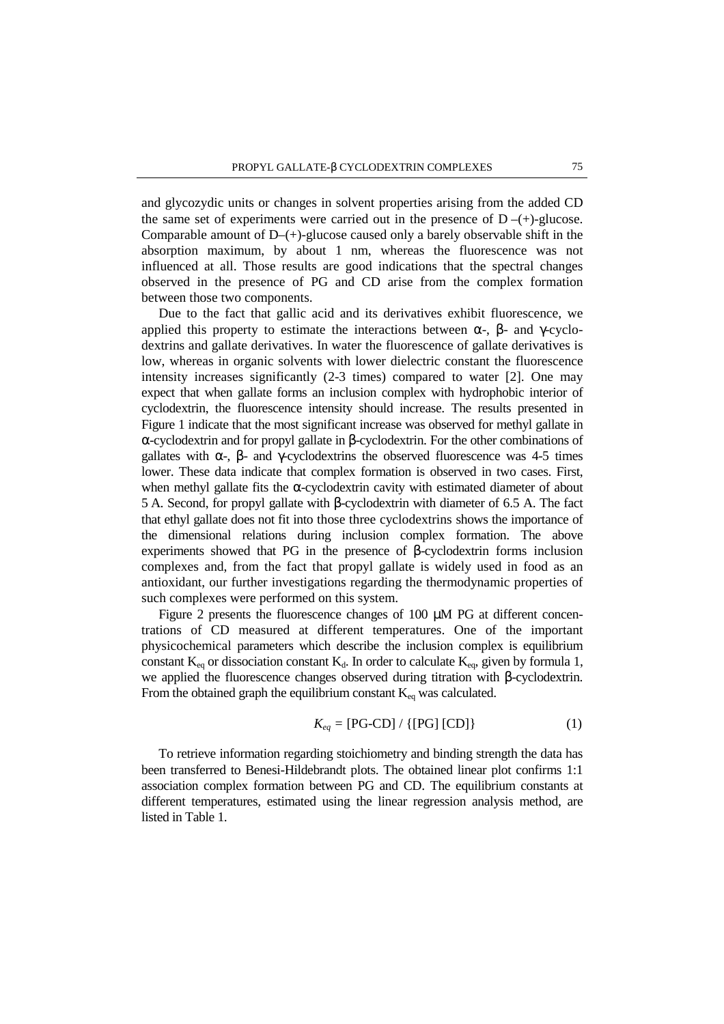and glycozydic units or changes in solvent properties arising from the added CD the same set of experiments were carried out in the presence of  $D - (+)$ -glucose. Comparable amount of  $D$ –(+)-glucose caused only a barely observable shift in the absorption maximum, by about 1 nm, whereas the fluorescence was not influenced at all. Those results are good indications that the spectral changes observed in the presence of PG and CD arise from the complex formation between those two components.

Due to the fact that gallic acid and its derivatives exhibit fluorescence, we applied this property to estimate the interactions between  $\alpha$ -,  $\beta$ - and γ-cyclodextrins and gallate derivatives. In water the fluorescence of gallate derivatives is low, whereas in organic solvents with lower dielectric constant the fluorescence intensity increases significantly (2-3 times) compared to water [2]. One may expect that when gallate forms an inclusion complex with hydrophobic interior of cyclodextrin, the fluorescence intensity should increase. The results presented in Figure 1 indicate that the most significant increase was observed for methyl gallate in α-cyclodextrin and for propyl gallate in β-cyclodextrin. For the other combinations of gallates with  $\alpha$ -,  $\beta$ - and γ-cyclodextrins the observed fluorescence was 4-5 times lower. These data indicate that complex formation is observed in two cases. First, when methyl gallate fits the  $\alpha$ -cyclodextrin cavity with estimated diameter of about 5 A. Second, for propyl gallate with β-cyclodextrin with diameter of 6.5 A. The fact that ethyl gallate does not fit into those three cyclodextrins shows the importance of the dimensional relations during inclusion complex formation. The above experiments showed that PG in the presence of β-cyclodextrin forms inclusion complexes and, from the fact that propyl gallate is widely used in food as an antioxidant, our further investigations regarding the thermodynamic properties of such complexes were performed on this system.

Figure 2 presents the fluorescence changes of 100  $\mu$ M PG at different concentrations of CD measured at different temperatures. One of the important physicochemical parameters which describe the inclusion complex is equilibrium constant  $K_{eq}$  or dissociation constant  $K_d$ . In order to calculate  $K_{eq}$ , given by formula 1, we applied the fluorescence changes observed during titration with β-cyclodextrin. From the obtained graph the equilibrium constant  $K_{eq}$  was calculated.

$$
K_{eq} = [PG-CD] / \{ [PG] [CD] \}
$$
 (1)

To retrieve information regarding stoichiometry and binding strength the data has been transferred to Benesi-Hildebrandt plots. The obtained linear plot confirms 1:1 association complex formation between PG and CD. The equilibrium constants at different temperatures, estimated using the linear regression analysis method, are listed in Table 1.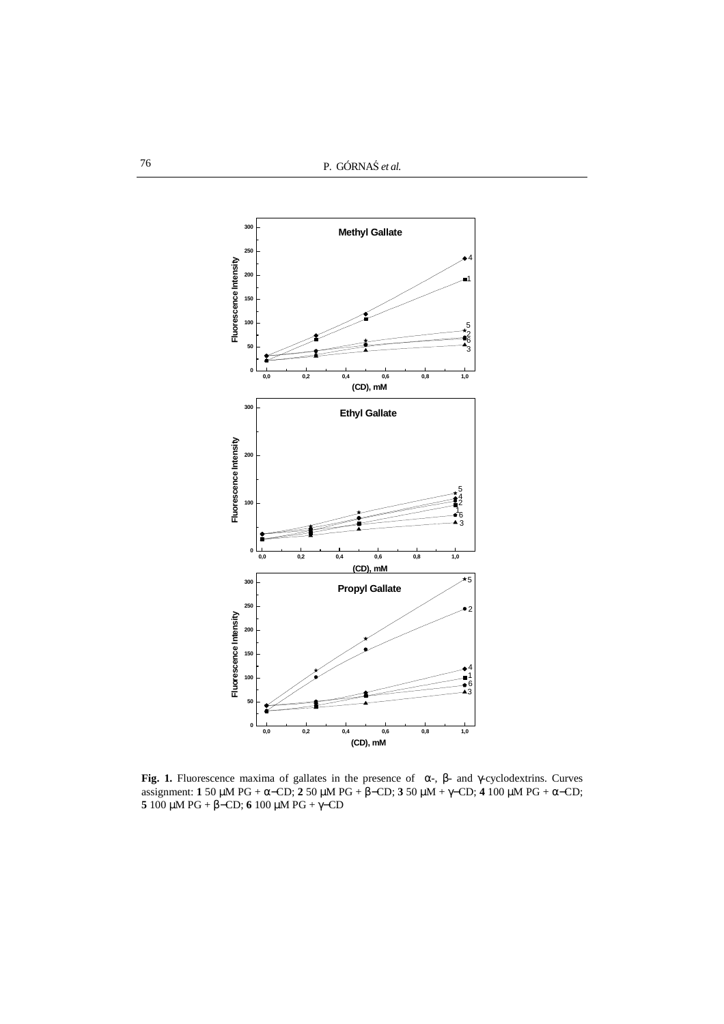

**Fig. 1.** Fluorescence maxima of gallates in the presence of  $\alpha$ -, β- and γ-cyclodextrins. Curves assignment: **1** 50 µM PG + α−CD; **2** 50 µM PG + β−CD; **3** 50 µM + γ−CD; **4** 100 µM PG + α−CD; 100 µM PG + β−CD; **6** 100 µM PG + γ−CD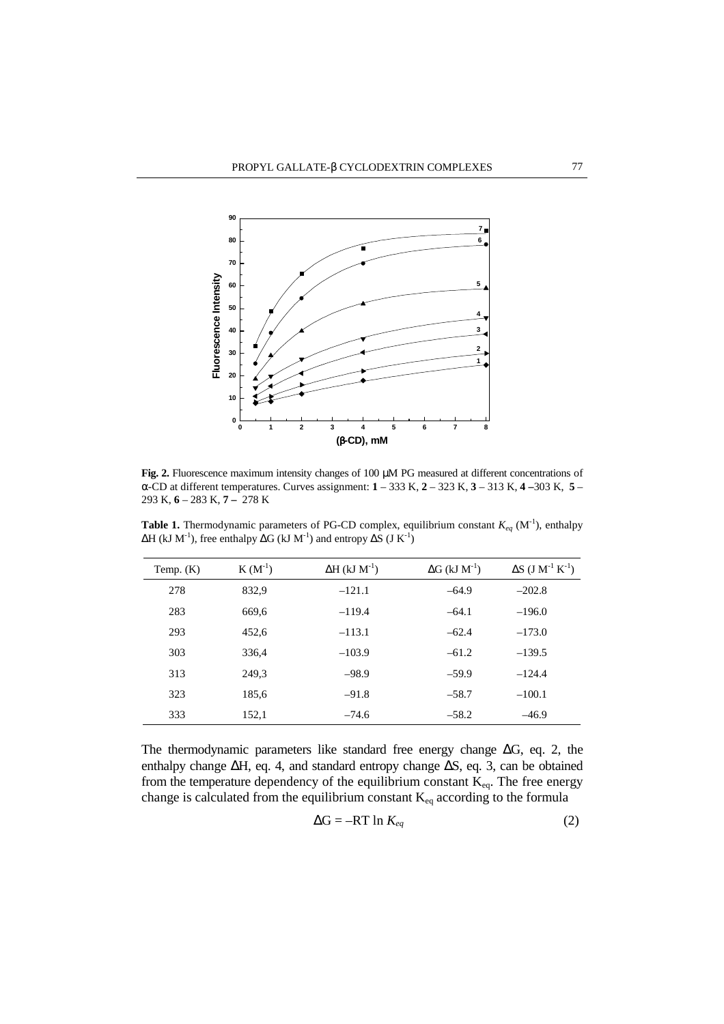

**Fig. 2.** Fluorescence maximum intensity changes of 100 µM PG measured at different concentrations of α-CD at different temperatures. Curves assignment: **1** – 333 K, **2** – 323 K, **3** – 313 K, **4 –**303 K, **5** – 293 K, **6** – 283 K, **7 –** 278 K

**Table 1.** Thermodynamic parameters of PG-CD complex, equilibrium constant  $K_{eq}$  (M<sup>-1</sup>), enthalpy  $\Delta H$  (kJ M<sup>-1</sup>), free enthalpy  $\Delta G$  (kJ M<sup>-1</sup>) and entropy  $\Delta S$  (J K<sup>-1</sup>)

| Temp. $(K)$ | $K(M^{-1})$ | $\Delta H$ (kJ $M^{-1}$ ) | $\Delta G$ (kJ $M^{-1}$ ) | $\Delta S$ (J M <sup>-1</sup> K <sup>-1</sup> ) |
|-------------|-------------|---------------------------|---------------------------|-------------------------------------------------|
| 278         | 832.9       | $-121.1$                  | $-64.9$                   | $-202.8$                                        |
| 283         | 669.6       | $-119.4$                  | $-64.1$                   | $-196.0$                                        |
| 293         | 452,6       | $-113.1$                  | $-62.4$                   | $-173.0$                                        |
| 303         | 336,4       | $-103.9$                  | $-61.2$                   | $-139.5$                                        |
| 313         | 249,3       | $-98.9$                   | $-59.9$                   | $-124.4$                                        |
| 323         | 185,6       | $-91.8$                   | $-58.7$                   | $-100.1$                                        |
| 333         | 152,1       | $-74.6$                   | $-58.2$                   | $-46.9$                                         |

The thermodynamic parameters like standard free energy change ∆G, eq. 2, the enthalpy change ∆H, eq. 4, and standard entropy change ∆S, eq. 3, can be obtained from the temperature dependency of the equilibrium constant  $K_{eq}$ . The free energy change is calculated from the equilibrium constant  $K_{eq}$  according to the formula

$$
\Delta G = -RT \ln K_{eq} \tag{2}
$$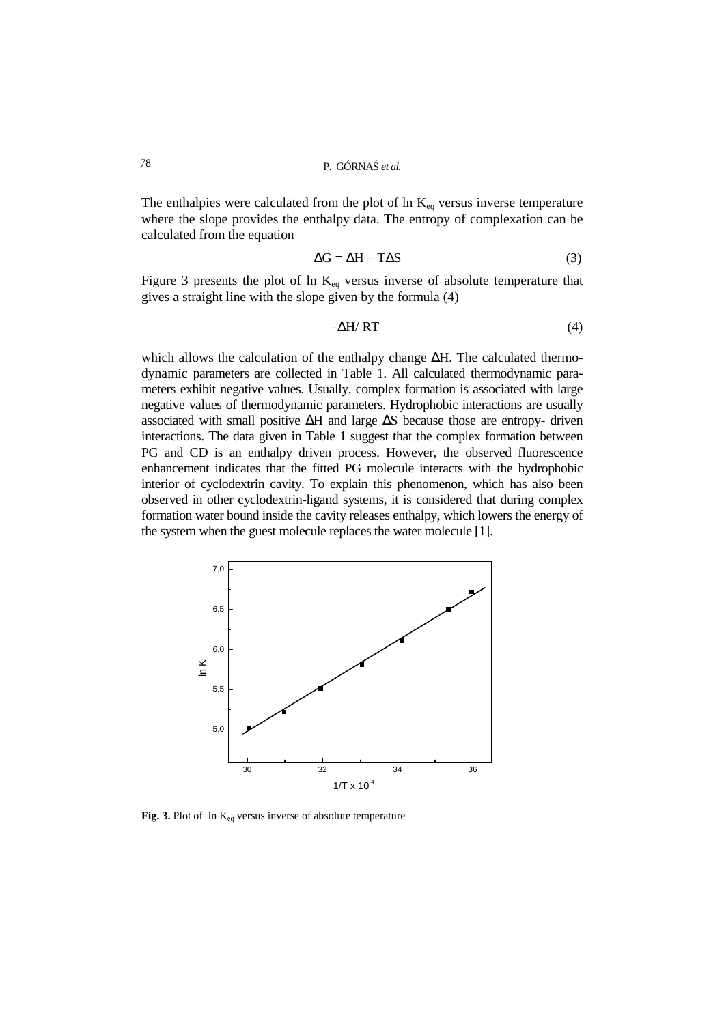The enthalpies were calculated from the plot of  $\ln K_{eq}$  versus inverse temperature where the slope provides the enthalpy data. The entropy of complexation can be calculated from the equation

$$
\Delta G = \Delta H - T\Delta S \tag{3}
$$

Figure 3 presents the plot of ln  $K_{eq}$  versus inverse of absolute temperature that gives a straight line with the slope given by the formula (4)

$$
-\Delta H / RT \tag{4}
$$

which allows the calculation of the enthalpy change ∆H. The calculated thermodynamic parameters are collected in Table 1. All calculated thermodynamic parameters exhibit negative values. Usually, complex formation is associated with large negative values of thermodynamic parameters. Hydrophobic interactions are usually associated with small positive ∆H and large ∆S because those are entropy- driven interactions. The data given in Table 1 suggest that the complex formation between PG and CD is an enthalpy driven process. However, the observed fluorescence enhancement indicates that the fitted PG molecule interacts with the hydrophobic interior of cyclodextrin cavity. To explain this phenomenon, which has also been observed in other cyclodextrin-ligand systems, it is considered that during complex formation water bound inside the cavity releases enthalpy, which lowers the energy of the system when the guest molecule replaces the water molecule [1].



**Fig. 3.** Plot of  $\ln K_{eq}$  versus inverse of absolute temperature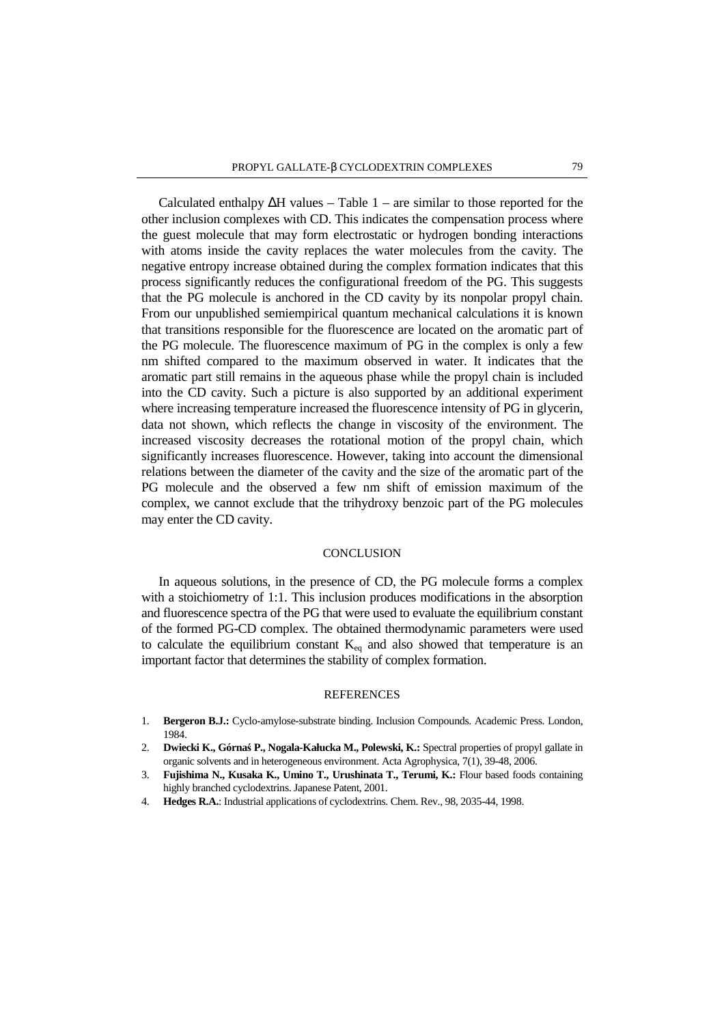Calculated enthalpy  $\Delta H$  values – Table 1 – are similar to those reported for the other inclusion complexes with CD. This indicates the compensation process where the guest molecule that may form electrostatic or hydrogen bonding interactions with atoms inside the cavity replaces the water molecules from the cavity. The negative entropy increase obtained during the complex formation indicates that this process significantly reduces the configurational freedom of the PG. This suggests that the PG molecule is anchored in the CD cavity by its nonpolar propyl chain. From our unpublished semiempirical quantum mechanical calculations it is known that transitions responsible for the fluorescence are located on the aromatic part of the PG molecule. The fluorescence maximum of PG in the complex is only a few nm shifted compared to the maximum observed in water. It indicates that the aromatic part still remains in the aqueous phase while the propyl chain is included into the CD cavity. Such a picture is also supported by an additional experiment where increasing temperature increased the fluorescence intensity of PG in glycerin, data not shown, which reflects the change in viscosity of the environment. The increased viscosity decreases the rotational motion of the propyl chain, which significantly increases fluorescence. However, taking into account the dimensional relations between the diameter of the cavity and the size of the aromatic part of the PG molecule and the observed a few nm shift of emission maximum of the complex, we cannot exclude that the trihydroxy benzoic part of the PG molecules may enter the CD cavity.

## **CONCLUSION**

In aqueous solutions, in the presence of CD, the PG molecule forms a complex with a stoichiometry of 1:1. This inclusion produces modifications in the absorption and fluorescence spectra of the PG that were used to evaluate the equilibrium constant of the formed PG-CD complex. The obtained thermodynamic parameters were used to calculate the equilibrium constant  $K_{eq}$  and also showed that temperature is an important factor that determines the stability of complex formation.

#### **REFERENCES**

- 1. **Bergeron B.J.:** Cyclo-amylose-substrate binding. Inclusion Compounds. Academic Press. London, 1984.
- 2. **Dwiecki K., Górna**ś **P., Nogala-Kałucka M., Polewski, K.:** Spectral properties of propyl gallate in organic solvents and in heterogeneous environment. Acta Agrophysica, 7(1), 39-48, 2006.
- 3. **Fujishima N., Kusaka K., Umino T., Urushinata T., Terumi, K.:** Flour based foods containing highly branched cyclodextrins. Japanese Patent, 2001.
- 4. **Hedges R.A.**: Industrial applications of cyclodextrins. Chem. Rev., 98, 2035-44, 1998.